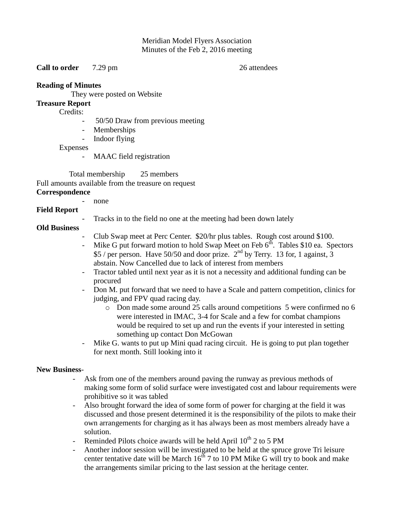### Meridian Model Flyers Association Minutes of the Feb 2, 2016 meeting

**Call to order** 7.29 pm 26 attendees

### **Reading of Minutes**

They were posted on Website

# **Treasure Report**

Credits:

- 50/50 Draw from previous meeting
- Memberships
- Indoor flying

Expenses

MAAC field registration

 Total membership 25 members Full amounts available from the treasure on request **Correspondence** 

- none

Tracks in to the field no one at the meeting had been down lately

## **Old Business**

**Field Report**

- Club Swap meet at Perc Center. \$20/hr plus tables. Rough cost around \$100.
- Mike G put forward motion to hold Swap Meet on Feb  $6<sup>th</sup>$ . Tables \$10 ea. Spectors \$5 / per person. Have 50/50 and door prize.  $2<sup>nd</sup>$  by Terry. 13 for, 1 against, 3 abstain. Now Cancelled due to lack of interest from members
- Tractor tabled until next year as it is not a necessity and additional funding can be procured
- Don M. put forward that we need to have a Scale and pattern competition, clinics for judging, and FPV quad racing day.
	- o Don made some around 25 calls around competitions 5 were confirmed no 6 were interested in IMAC, 3-4 for Scale and a few for combat champions would be required to set up and run the events if your interested in setting something up contact Don McGowan
- Mike G. wants to put up Mini quad racing circuit. He is going to put plan together for next month. Still looking into it

## **New Business**-

- Ask from one of the members around paving the runway as previous methods of making some form of solid surface were investigated cost and labour requirements were prohibitive so it was tabled
- Also brought forward the idea of some form of power for charging at the field it was discussed and those present determined it is the responsibility of the pilots to make their own arrangements for charging as it has always been as most members already have a solution.
- Reminded Pilots choice awards will be held April  $10^{th}$  2 to 5 PM
- Another indoor session will be investigated to be held at the spruce grove Tri leisure center tentative date will be March  $16^{th}$  7 to 10 PM Mike G will try to book and make the arrangements similar pricing to the last session at the heritage center.